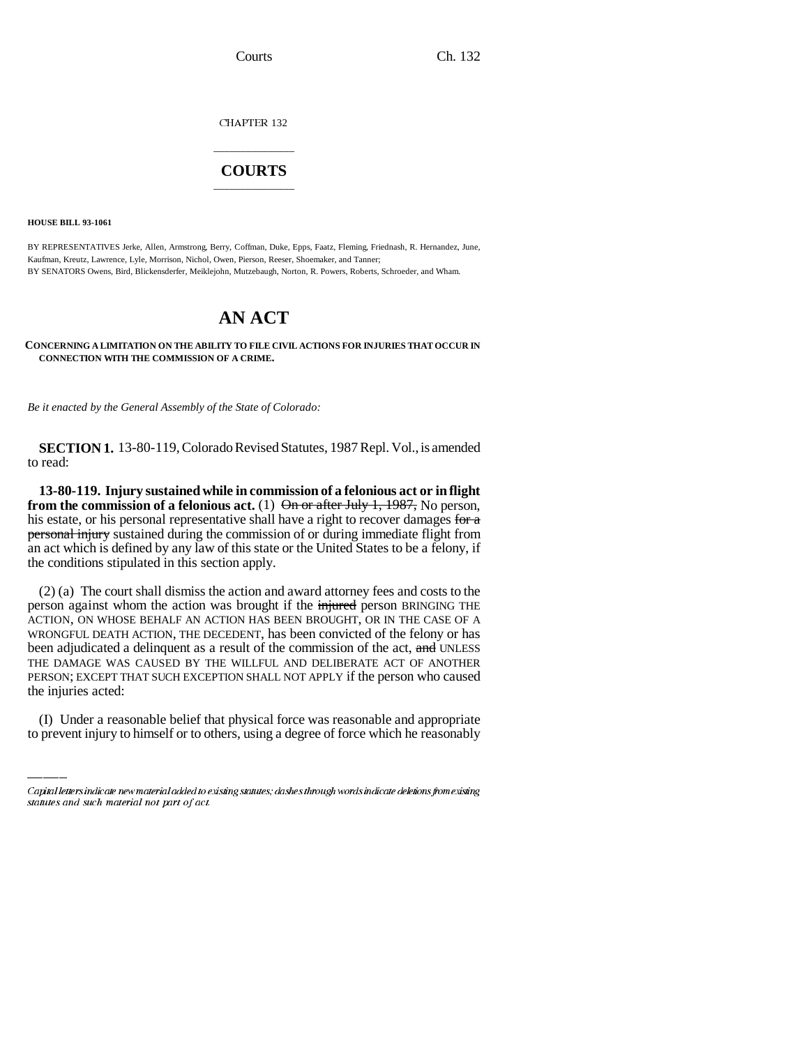CHAPTER 132

## \_\_\_\_\_\_\_\_\_\_\_\_\_\_\_ **COURTS** \_\_\_\_\_\_\_\_\_\_\_\_\_\_\_

**HOUSE BILL 93-1061**

BY REPRESENTATIVES Jerke, Allen, Armstrong, Berry, Coffman, Duke, Epps, Faatz, Fleming, Friednash, R. Hernandez, June, Kaufman, Kreutz, Lawrence, Lyle, Morrison, Nichol, Owen, Pierson, Reeser, Shoemaker, and Tanner; BY SENATORS Owens, Bird, Blickensderfer, Meiklejohn, Mutzebaugh, Norton, R. Powers, Roberts, Schroeder, and Wham.

## **AN ACT**

**CONCERNING A LIMITATION ON THE ABILITY TO FILE CIVIL ACTIONS FOR INJURIES THAT OCCUR IN CONNECTION WITH THE COMMISSION OF A CRIME.**

*Be it enacted by the General Assembly of the State of Colorado:* 

**SECTION 1.** 13-80-119, Colorado Revised Statutes, 1987 Repl. Vol., is amended to read:

**13-80-119. Injury sustained while in commission of a felonious act or in flight from the commission of a felonious act.** (1) On or after July 1, 1987, No person, his estate, or his personal representative shall have a right to recover damages for a **personal injury** sustained during the commission of or during immediate flight from an act which is defined by any law of this state or the United States to be a felony, if the conditions stipulated in this section apply.

PERSON; EXCEPT THAT SUCH EXCEPTION SHALL NOT APPLY if the person who caused (2) (a) The court shall dismiss the action and award attorney fees and costs to the person against whom the action was brought if the injured person BRINGING THE ACTION, ON WHOSE BEHALF AN ACTION HAS BEEN BROUGHT, OR IN THE CASE OF A WRONGFUL DEATH ACTION, THE DECEDENT, has been convicted of the felony or has been adjudicated a delinquent as a result of the commission of the act, and UNLESS THE DAMAGE WAS CAUSED BY THE WILLFUL AND DELIBERATE ACT OF ANOTHER the injuries acted:

(I) Under a reasonable belief that physical force was reasonable and appropriate to prevent injury to himself or to others, using a degree of force which he reasonably

Capital letters indicate new material added to existing statutes; dashes through words indicate deletions from existing statutes and such material not part of act.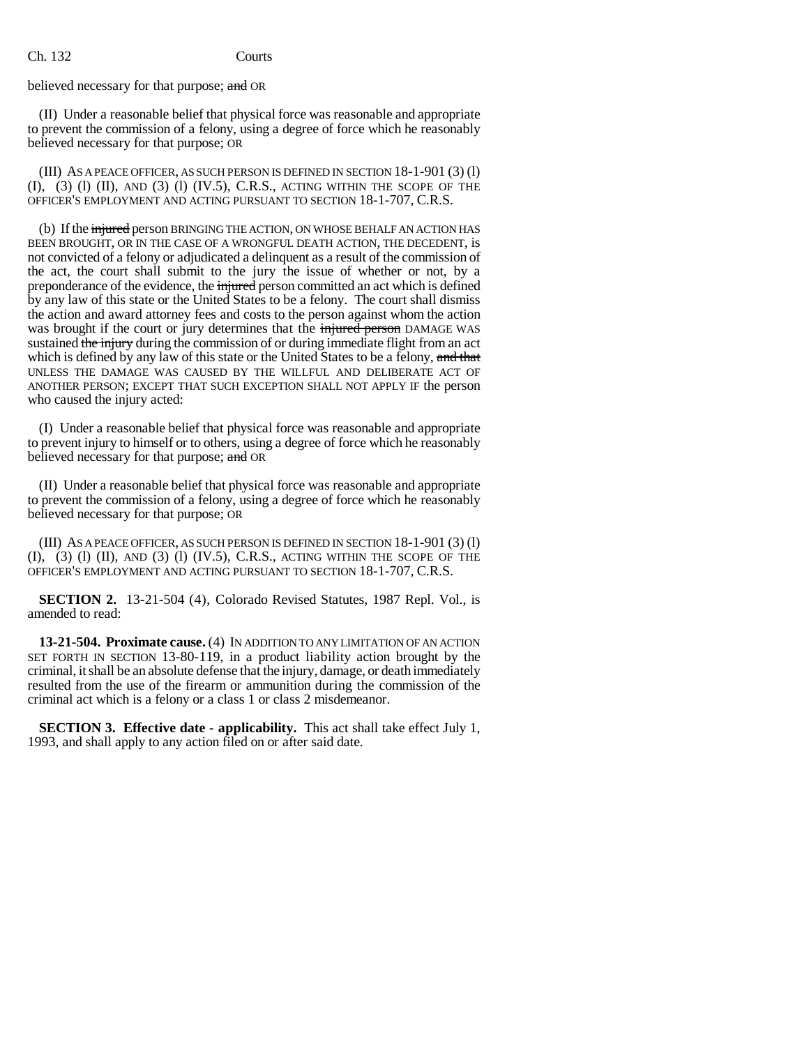Ch. 132 Courts

believed necessary for that purpose; and OR

(II) Under a reasonable belief that physical force was reasonable and appropriate to prevent the commission of a felony, using a degree of force which he reasonably believed necessary for that purpose; OR

(III) AS A PEACE OFFICER, AS SUCH PERSON IS DEFINED IN SECTION 18-1-901 (3) (l)  $(I), (3)$   $(I)$   $(II),$   $AND$   $(3)$   $(I)$   $(IV.5), C.R.S.,$   $ACTING$  WITHIN THE SCOPE OF THE OFFICER'S EMPLOYMENT AND ACTING PURSUANT TO SECTION 18-1-707, C.R.S.

(b) If the *injured* person BRINGING THE ACTION, ON WHOSE BEHALF AN ACTION HAS BEEN BROUGHT, OR IN THE CASE OF A WRONGFUL DEATH ACTION, THE DECEDENT, is not convicted of a felony or adjudicated a delinquent as a result of the commission of the act, the court shall submit to the jury the issue of whether or not, by a preponderance of the evidence, the injured person committed an act which is defined by any law of this state or the United States to be a felony. The court shall dismiss the action and award attorney fees and costs to the person against whom the action was brought if the court or jury determines that the injured person DAMAGE WAS sustained the injury during the commission of or during immediate flight from an act which is defined by any law of this state or the United States to be a felony, and that UNLESS THE DAMAGE WAS CAUSED BY THE WILLFUL AND DELIBERATE ACT OF ANOTHER PERSON; EXCEPT THAT SUCH EXCEPTION SHALL NOT APPLY IF the person who caused the injury acted:

(I) Under a reasonable belief that physical force was reasonable and appropriate to prevent injury to himself or to others, using a degree of force which he reasonably believed necessary for that purpose; and OR

(II) Under a reasonable belief that physical force was reasonable and appropriate to prevent the commission of a felony, using a degree of force which he reasonably believed necessary for that purpose; OR

(III) AS A PEACE OFFICER, AS SUCH PERSON IS DEFINED IN SECTION 18-1-901 (3) (l)  $(I), (3)$   $(I)$   $(II),$  AND  $(3)$   $(I)$   $(IV.5), C.R.S.,$  ACTING WITHIN THE SCOPE OF THE OFFICER'S EMPLOYMENT AND ACTING PURSUANT TO SECTION 18-1-707, C.R.S.

**SECTION 2.** 13-21-504 (4), Colorado Revised Statutes, 1987 Repl. Vol., is amended to read:

**13-21-504. Proximate cause.** (4) IN ADDITION TO ANY LIMITATION OF AN ACTION SET FORTH IN SECTION 13-80-119, in a product liability action brought by the criminal, it shall be an absolute defense that the injury, damage, or death immediately resulted from the use of the firearm or ammunition during the commission of the criminal act which is a felony or a class 1 or class 2 misdemeanor.

**SECTION 3. Effective date - applicability.** This act shall take effect July 1, 1993, and shall apply to any action filed on or after said date.